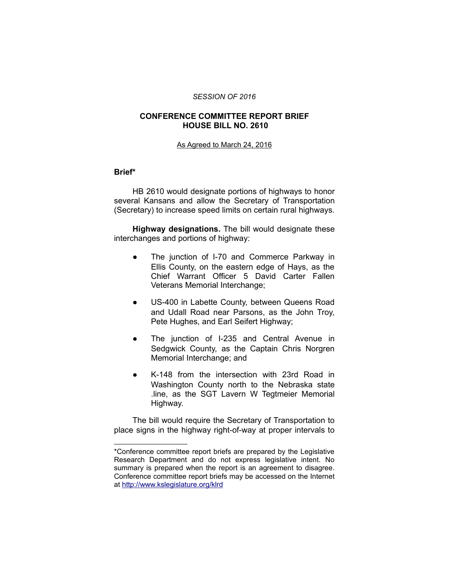#### *SESSION OF 2016*

### **CONFERENCE COMMITTEE REPORT BRIEF HOUSE BILL NO. 2610**

#### As Agreed to March 24, 2016

#### **Brief\***

HB 2610 would designate portions of highways to honor several Kansans and allow the Secretary of Transportation (Secretary) to increase speed limits on certain rural highways.

**Highway designations.** The bill would designate these interchanges and portions of highway:

- The junction of I-70 and Commerce Parkway in Ellis County, on the eastern edge of Hays, as the Chief Warrant Officer 5 David Carter Fallen Veterans Memorial Interchange;
- US-400 in Labette County, between Queens Road and Udall Road near Parsons, as the John Troy, Pete Hughes, and Earl Seifert Highway;
- The junction of I-235 and Central Avenue in Sedgwick County, as the Captain Chris Norgren Memorial Interchange; and
- K-148 from the intersection with 23rd Road in Washington County north to the Nebraska state .line, as the SGT Lavern W Tegtmeier Memorial Highway.

The bill would require the Secretary of Transportation to place signs in the highway right-of-way at proper intervals to

 $\mathcal{L}=\{1,2,3,4,5\}$ 

<sup>\*</sup>Conference committee report briefs are prepared by the Legislative Research Department and do not express legislative intent. No summary is prepared when the report is an agreement to disagree. Conference committee report briefs may be accessed on the Internet at<http://www.kslegislature.org/klrd>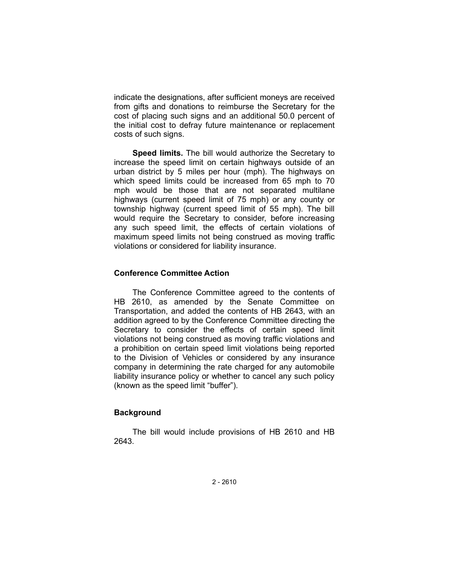indicate the designations, after sufficient moneys are received from gifts and donations to reimburse the Secretary for the cost of placing such signs and an additional 50.0 percent of the initial cost to defray future maintenance or replacement costs of such signs.

**Speed limits.** The bill would authorize the Secretary to increase the speed limit on certain highways outside of an urban district by 5 miles per hour (mph). The highways on which speed limits could be increased from 65 mph to 70 mph would be those that are not separated multilane highways (current speed limit of 75 mph) or any county or township highway (current speed limit of 55 mph). The bill would require the Secretary to consider, before increasing any such speed limit, the effects of certain violations of maximum speed limits not being construed as moving traffic violations or considered for liability insurance.

# **Conference Committee Action**

The Conference Committee agreed to the contents of HB 2610, as amended by the Senate Committee on Transportation, and added the contents of HB 2643, with an addition agreed to by the Conference Committee directing the Secretary to consider the effects of certain speed limit violations not being construed as moving traffic violations and a prohibition on certain speed limit violations being reported to the Division of Vehicles or considered by any insurance company in determining the rate charged for any automobile liability insurance policy or whether to cancel any such policy (known as the speed limit "buffer").

# **Background**

The bill would include provisions of HB 2610 and HB 2643.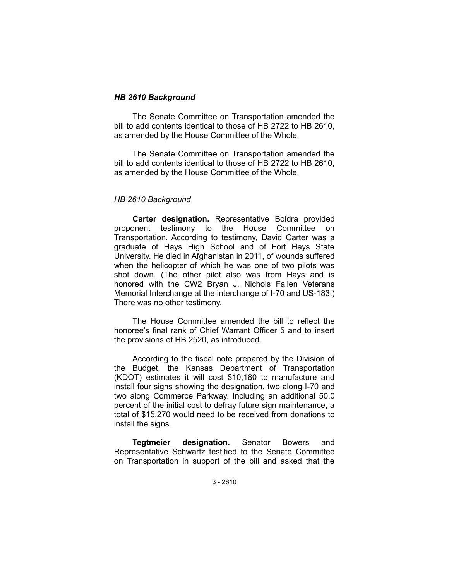### *HB 2610 Background*

The Senate Committee on Transportation amended the bill to add contents identical to those of HB 2722 to HB 2610, as amended by the House Committee of the Whole.

The Senate Committee on Transportation amended the bill to add contents identical to those of HB 2722 to HB 2610, as amended by the House Committee of the Whole.

# *HB 2610 Background*

**Carter designation.** Representative Boldra provided proponent testimony to the House Committee on Transportation. According to testimony, David Carter was a graduate of Hays High School and of Fort Hays State University. He died in Afghanistan in 2011, of wounds suffered when the helicopter of which he was one of two pilots was shot down. (The other pilot also was from Hays and is honored with the CW2 Bryan J. Nichols Fallen Veterans Memorial Interchange at the interchange of I-70 and US-183.) There was no other testimony.

The House Committee amended the bill to reflect the honoree's final rank of Chief Warrant Officer 5 and to insert the provisions of HB 2520, as introduced.

According to the fiscal note prepared by the Division of the Budget, the Kansas Department of Transportation (KDOT) estimates it will cost \$10,180 to manufacture and install four signs showing the designation, two along I-70 and two along Commerce Parkway. Including an additional 50.0 percent of the initial cost to defray future sign maintenance, a total of \$15,270 would need to be received from donations to install the signs.

**Tegtmeier designation.** Senator Bowers and Representative Schwartz testified to the Senate Committee on Transportation in support of the bill and asked that the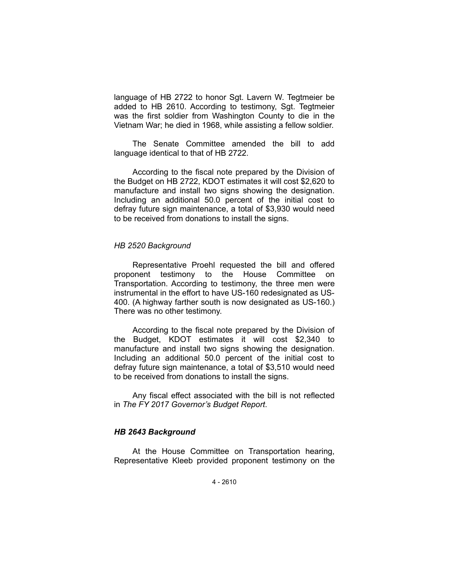language of HB 2722 to honor Sgt. Lavern W. Tegtmeier be added to HB 2610. According to testimony, Sgt. Tegtmeier was the first soldier from Washington County to die in the Vietnam War; he died in 1968, while assisting a fellow soldier.

The Senate Committee amended the bill to add language identical to that of HB 2722.

According to the fiscal note prepared by the Division of the Budget on HB 2722, KDOT estimates it will cost \$2,620 to manufacture and install two signs showing the designation. Including an additional 50.0 percent of the initial cost to defray future sign maintenance, a total of \$3,930 would need to be received from donations to install the signs.

### *HB 2520 Background*

Representative Proehl requested the bill and offered proponent testimony to the House Committee on Transportation. According to testimony, the three men were instrumental in the effort to have US-160 redesignated as US-400. (A highway farther south is now designated as US-160.) There was no other testimony.

According to the fiscal note prepared by the Division of the Budget, KDOT estimates it will cost \$2,340 to manufacture and install two signs showing the designation. Including an additional 50.0 percent of the initial cost to defray future sign maintenance, a total of \$3,510 would need to be received from donations to install the signs.

Any fiscal effect associated with the bill is not reflected in *The FY 2017 Governor's Budget Report*.

# *HB 2643 Background*

At the House Committee on Transportation hearing, Representative Kleeb provided proponent testimony on the